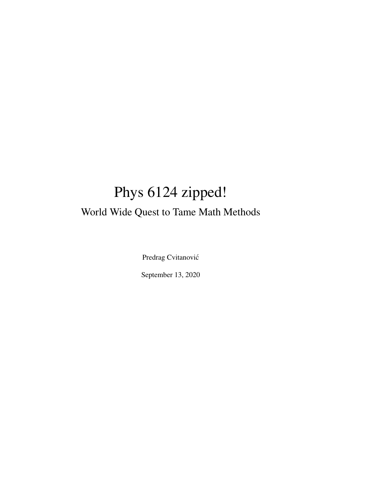# Phys 6124 zipped! World Wide Quest to Tame Math Methods

Predrag Cvitanović

September 13, 2020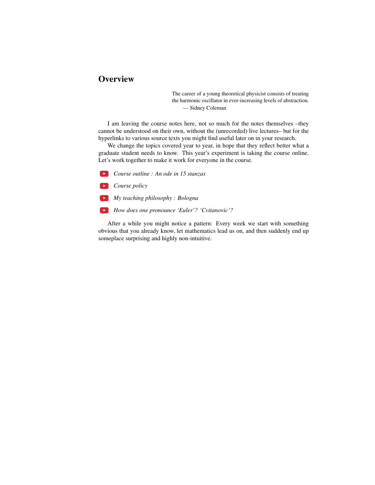# **Overview**

The career of a young theoretical physicist consists of treating the harmonic oscillator in ever-increasing levels of abstraction. — Sidney Coleman

I am leaving the course notes here, not so much for the notes themselves –they cannot be understood on their own, without the (unrecorded) live lectures– but for the hyperlinks to various source texts you might find useful later on in your research.

We change the topics covered year to year, in hope that they reflect better what a graduate student needs to know. This year's experiment is taking the course online. Let's work together to make it work for everyone in the course.

*Course outline : An ode in 15 stanzas*

*Course policy*

*My teaching philosophy : Bologna*

*How does one pronounce 'Euler'? 'Cvitanovic'?*

After a while you might notice a pattern: Every week we start with something obvious that you already know, let mathematics lead us on, and then suddenly end up someplace surprising and highly non-intuitive.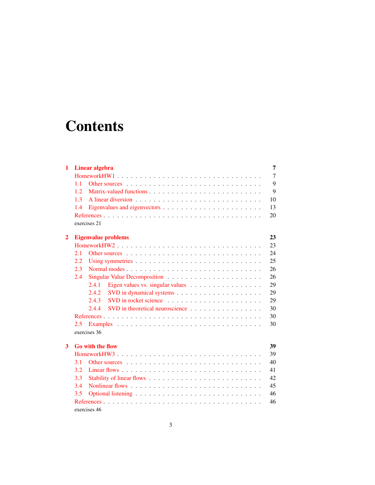# **Contents**

| 1              |                            | Linear algebra                                                                                                                                                                                                                 | 7  |  |  |  |  |  |  |  |  |
|----------------|----------------------------|--------------------------------------------------------------------------------------------------------------------------------------------------------------------------------------------------------------------------------|----|--|--|--|--|--|--|--|--|
|                |                            |                                                                                                                                                                                                                                | 7  |  |  |  |  |  |  |  |  |
|                | 11                         |                                                                                                                                                                                                                                | 9  |  |  |  |  |  |  |  |  |
|                | 1.2.                       |                                                                                                                                                                                                                                | 9  |  |  |  |  |  |  |  |  |
|                | 1.3                        |                                                                                                                                                                                                                                | 10 |  |  |  |  |  |  |  |  |
|                | 1.4                        | 13                                                                                                                                                                                                                             |    |  |  |  |  |  |  |  |  |
|                |                            |                                                                                                                                                                                                                                | 20 |  |  |  |  |  |  |  |  |
|                |                            | exercises 21                                                                                                                                                                                                                   |    |  |  |  |  |  |  |  |  |
| $\overline{2}$ | <b>Eigenvalue problems</b> |                                                                                                                                                                                                                                |    |  |  |  |  |  |  |  |  |
|                | HomeworkHW2                |                                                                                                                                                                                                                                |    |  |  |  |  |  |  |  |  |
|                | 2.1                        |                                                                                                                                                                                                                                | 24 |  |  |  |  |  |  |  |  |
|                | $2.2\,$                    |                                                                                                                                                                                                                                | 25 |  |  |  |  |  |  |  |  |
|                | 2.3                        | Normal modes                                                                                                                                                                                                                   |    |  |  |  |  |  |  |  |  |
|                | 2.4                        |                                                                                                                                                                                                                                | 26 |  |  |  |  |  |  |  |  |
|                |                            | 2.4.1<br>Eigen values vs. singular values $\dots \dots \dots \dots \dots \dots$                                                                                                                                                | 29 |  |  |  |  |  |  |  |  |
|                |                            | 2.4.2                                                                                                                                                                                                                          | 29 |  |  |  |  |  |  |  |  |
|                |                            | 2.4.3                                                                                                                                                                                                                          | 29 |  |  |  |  |  |  |  |  |
|                |                            | 2.4.4<br>SVD in theoretical neuroscience                                                                                                                                                                                       | 30 |  |  |  |  |  |  |  |  |
|                |                            |                                                                                                                                                                                                                                |    |  |  |  |  |  |  |  |  |
|                | 2.5                        |                                                                                                                                                                                                                                |    |  |  |  |  |  |  |  |  |
|                | exercises 36               |                                                                                                                                                                                                                                |    |  |  |  |  |  |  |  |  |
| 3              | <b>Go with the flow</b>    |                                                                                                                                                                                                                                |    |  |  |  |  |  |  |  |  |
|                |                            | HomeworkHW3                                                                                                                                                                                                                    |    |  |  |  |  |  |  |  |  |
|                | 3.1                        | Other sources entering the set of the set of the set of the set of the set of the set of the set of the set of the set of the set of the set of the set of the set of the set of the set of the set of the set of the set of t | 40 |  |  |  |  |  |  |  |  |
|                | 3.2                        | 41                                                                                                                                                                                                                             |    |  |  |  |  |  |  |  |  |
|                | 3.3                        |                                                                                                                                                                                                                                | 42 |  |  |  |  |  |  |  |  |
|                | 3.4                        |                                                                                                                                                                                                                                |    |  |  |  |  |  |  |  |  |
|                | 3.5                        |                                                                                                                                                                                                                                |    |  |  |  |  |  |  |  |  |
|                |                            |                                                                                                                                                                                                                                | 46 |  |  |  |  |  |  |  |  |
|                | exercises 46               |                                                                                                                                                                                                                                |    |  |  |  |  |  |  |  |  |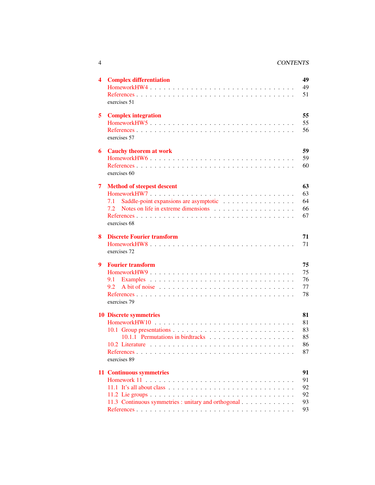### 4 CONTENTS

| 4 | <b>Complex differentiation</b><br>exercises 51                                         | 49<br>49<br>51                   |
|---|----------------------------------------------------------------------------------------|----------------------------------|
| 5 | <b>Complex integration</b><br>HomeworkHW5<br>exercises 57                              | 55<br>55<br>56                   |
| 6 | <b>Cauchy theorem at work</b><br>exercises 60                                          | 59<br>59<br>60                   |
| 7 | <b>Method of steepest descent</b><br>7.1<br>7.2<br>exercises 68                        | 63<br>63<br>64<br>66<br>67       |
| 8 | <b>Discrete Fourier transform</b><br>exercises 72                                      | 71<br>71                         |
| 9 | <b>Fourier transform</b><br>9.1<br>9.2<br>exercises 79                                 | 75<br>75<br>76<br>77<br>78       |
|   | <b>10 Discrete symmetries</b><br>exercises 89                                          | 81<br>81<br>83<br>85<br>86<br>87 |
|   | <b>11 Continuous symmetries</b><br>11.3 Continuous symmetries : unitary and orthogonal | 91<br>91<br>92<br>92<br>93<br>93 |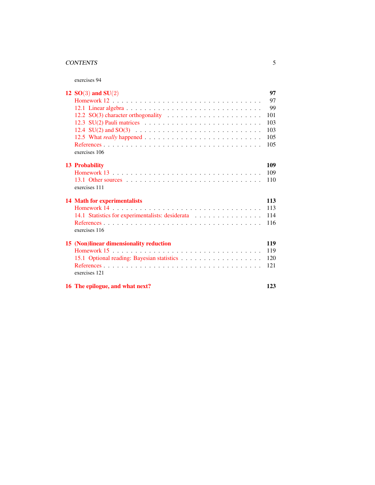### CONTENTS 5

exercises 94

| 12 $SO(3)$ and $SU(2)$                                                                             | 97  |
|----------------------------------------------------------------------------------------------------|-----|
|                                                                                                    | 97  |
| 12.1 Linear algebra $\ldots \ldots \ldots \ldots \ldots \ldots \ldots \ldots \ldots \ldots \ldots$ | 99  |
|                                                                                                    | 101 |
|                                                                                                    | 103 |
|                                                                                                    | 103 |
|                                                                                                    | 105 |
|                                                                                                    | 105 |
| exercises 106                                                                                      |     |
| 13 Probability                                                                                     | 109 |
|                                                                                                    | 109 |
|                                                                                                    | 110 |
| exercises 111                                                                                      |     |
| <b>14 Math for experimentalists</b>                                                                | 113 |
|                                                                                                    | 113 |
|                                                                                                    | 114 |
|                                                                                                    | 116 |
| exercises 116                                                                                      |     |
| 15 (Non)linear dimensionality reduction                                                            | 119 |
|                                                                                                    | 119 |
|                                                                                                    | 120 |
|                                                                                                    | 121 |
| exercises 121                                                                                      |     |
| 16 The epilogue, and what next?                                                                    | 123 |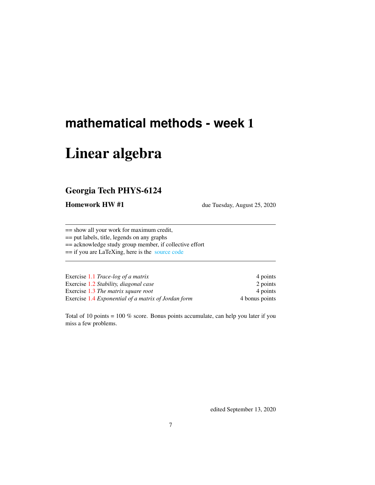# <span id="page-6-0"></span>**mathematical methods - week** 1

# Linear algebra

# <span id="page-6-1"></span>Georgia Tech PHYS-6124

Homework HW #1 due Tuesday, August 25, 2020

== show all your work for maximum credit,

== put labels, title, legends on any graphs

== acknowledge study group member, if collective effort

== if you are LaTeXing, here is the [source code](http://chaosbook.org/~predrag/courses/PHYS-6124-20/exerWeek1.tex)

| Exercise 1.1 Trace-log of a matrix                  | 4 points       |
|-----------------------------------------------------|----------------|
| Exercise 1.2 Stability, diagonal case               | 2 points       |
| Exercise 1.3 The matrix square root                 | 4 points       |
| Exercise 1.4 Exponential of a matrix of Jordan form | 4 bonus points |

Total of 10 points = 100 % score. Bonus points accumulate, can help you later if you miss a few problems.

edited September 13, 2020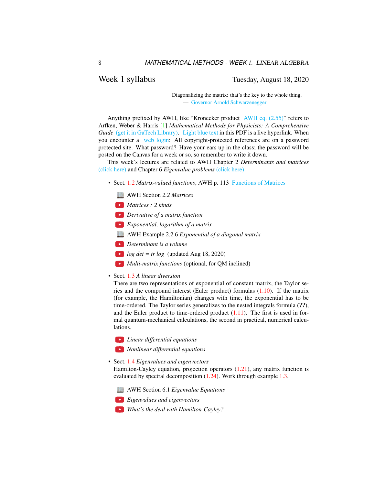## Week 1 syllabus Tuesday, August 18, 2020

Diagonalizing the matrix: that's the key to the whole thing. — [Governor Arnold Schwarzenegger](https://www.prairiehome.org/story/2003/11/29/guy-noir.html)

Anything prefixed by AWH, like "Kronecker product [AWH eq. \(2.55\)"](http://chaosbook.org/library/ArWeHa13chap2.pdf#section*.29) refers to Arfken, Weber & Harris [\[1\]](#page-19-1) *Mathematical Methods for Physicists: A Comprehensive Guide* [\(get it in GaTech Library\).](https://www.sciencedirect.com/book/9780123846549/mathematical-methods-for-physicists) [Light blue text](http://chaosbook.org/figs/cat.hammock.gif) in this PDF is a live hyperlink. When you encounter a [web login:](http://chaosbook.org/library/) All copyright-protected references are on a password protected site. What password? Have your ears up in the class; the password will be posted on the Canvas for a week or so, so remember to write it down.

This week's lectures are related to AWH Chapter 2 *Determinants and matrices* [\(click here\)](http://ChaosBook.org/library/ArWeHa13chap2.pdf) and Chapter 6 *Eigenvalue problems* [\(click here\)](http://ChaosBook.org/library/ArWeHa13chap6EigenvalueProbs.pdf)

- Sect. [1.2](#page-8-1) *Matrix-valued functions*, AWH p. 113 [Functions of Matrices](http://chaosbook.org/library/ArWeHa13chap2.pdf#section*.30)
	- AWH Section *2.2 Matrices*
	- *Matrices : 2 kinds*
	- *Derivative of a matrix function*
	- *Exponential, logarithm of a matrix*
	- AWH Example 2.2.6 *Exponential of a diagonal matrix*
	- *Determinant is a volume*
	- $log \ det = tr log$  (updated Aug 18, 2020)
	- *Multi-matrix functions* (optional, for QM inclined)
- Sect. [1.3](#page-9-0) *A linear diversion*

There are two representations of exponential of constant matrix, the Taylor series and the compound interest (Euler product) formulas [\(1.10\)](#page-11-0). If the matrix (for example, the Hamiltonian) changes with time, the exponential has to be time-ordered. The Taylor series generalizes to the nested integrals formula (??), and the Euler product to time-ordered product  $(1.11)$ . The first is used in formal quantum-mechanical calculations, the second in practical, numerical calculations.

- *Linear differential equations*
- *Nonlinear differential equations*
- Sect. [1.4](#page-12-0) *Eigenvalues and eigenvectors*

Hamilton-Cayley equation, projection operators  $(1.21)$ , any matrix function is evaluated by spectral decomposition [\(1.24\)](#page-13-1). Work through example [1.3.](#page-15-0)

AWH Section 6.1 *Eigenvalue Equations*



*What's the deal with Hamilton-Cayley?*

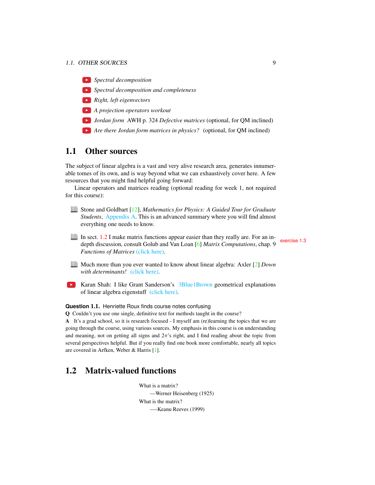### 1.1. OTHER SOURCES 9



- *Right, left eigenvectors*
- *A projection operators workout*
- *Jordan form* AWH p. 324 *Defective matrices* (optional, for QM inclined)
- *Are there Jordan form matrices in physics?* (optional, for QM inclined)

# <span id="page-8-0"></span>1.1 Other sources

The subject of linear algebra is a vast and very alive research area, generates innumerable tomes of its own, and is way beyond what we can exhaustively cover here. A few resources that you might find helpful going forward:

Linear operators and matrices reading (optional reading for week 1, not required for this course):

- Stone and Goldbart [\[12\]](#page-20-3), *Mathematics for Physics: A Guided Tour for Graduate Students*, [Appendix A.](http://ChaosBook.org/~predrag/courses/PHYS-6124-20/StGoAppA.pdf) This is an advanced summary where you will find almost everything one needs to know.
- In sect. [1.2](#page-8-1) I make matrix functions appear easier than they really are. For an in-<br>depth discussion, consult Golub and Van Loan [\[6\]](#page-19-2) *Matrix Computations*, chap. 9 *Functions of Matrices* [\(click here\).](http://ChaosBook.org/library/GoVanLo96.pdf)

- Much more than you ever wanted to know about linear algebra: Axler [\[2\]](#page-19-3) *Down with determinants!* [\(click here\).](https://www.maa.org/sites/default/files/pdf/awards/Axler-Ford-1996.pdf)
- **EX** Karan Shah: I like Grant Sanderson's [3Blue1Brown](https://www.3blue1brown.com/) geometrical explanations of linear algebra eigenstuff [\(click here\).](https://www.youtube.com/playlist?list=PLZHQObOWTQDPD3MizzM2xVFitgF8hE_ab)

#### **Question** 1.1. Henriette Roux finds course notes confusing

Q Couldn't you use one single, definitive text for methods taught in the course?

A It's a grad school, so it is research focused - I myself am (re)learning the topics that we are going through the course, using various sources. My emphasis in this course is on understanding and meaning, not on getting all signs and  $2\pi$ 's right, and I find reading about the topic from several perspectives helpful. But if you really find one book more comfortable, nearly all topics are covered in Arfken, Weber & Harris [\[1\]](#page-19-1).

# <span id="page-8-1"></span>1.2 Matrix-valued functions

What is a matrix? —Werner Heisenberg (1925) What is the matrix? —-Keanu Reeves (1999)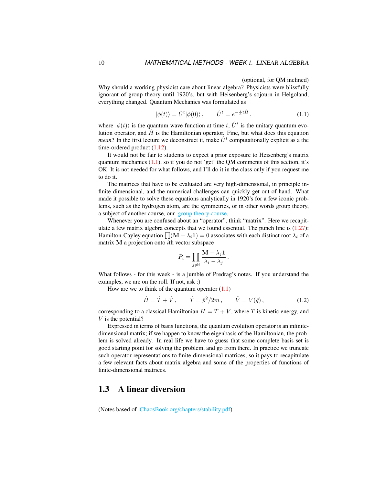### (optional, for QM inclined)

Why should a working physicist care about linear algebra? Physicists were blissfully ignorant of group theory until 1920's, but with Heisenberg's sojourn in Helgoland, everything changed. Quantum Mechanics was formulated as

<span id="page-9-1"></span>
$$
|\phi(t)\rangle = \hat{U}^t|\phi(0)\rangle, \qquad \hat{U}^t = e^{-\frac{i}{\hbar}t\hat{H}}, \qquad (1.1)
$$

where  $|\phi(t)\rangle$  is the quantum wave function at time t,  $\hat{U}^t$  is the unitary quantum evolution operator, and  $\hat{H}$  is the Hamiltonian operator. Fine, but what does this equation *mean*? In the first lecture we deconstruct it, make  $\hat{U}^t$  computationally explicit as a the time-ordered product [\(1.12\)](#page-11-2).

It would not be fair to students to expect a prior exposure to Heisenberg's matrix quantum mechanics  $(1.1)$ , so if you do not 'get' the QM comments of this section, it's OK. It is not needed for what follows, and I'll do it in the class only if you request me to do it.

The matrices that have to be evaluated are very high-dimensional, in principle infinite dimensional, and the numerical challenges can quickly get out of hand. What made it possible to solve these equations analytically in 1920's for a few iconic problems, such as the hydrogen atom, are the symmetries, or in other words group theory, a subject of another course, our [group theory course.](http://birdtracks.eu/courses/PHYS-7143-19/schedule.html)

Whenever you are confused about an "operator", think "matrix". Here we recapitulate a few matrix algebra concepts that we found essential. The punch line is  $(1.27)$ : Hamilton-Cayley equation  $\prod (\mathbf{M} - \lambda_i \mathbf{1}) = 0$  associates with each distinct root  $\lambda_i$  of a matrix M a projection onto ith vector subspace

$$
P_i = \prod_{j \neq i} \frac{\mathbf{M} - \lambda_j \mathbf{1}}{\lambda_i - \lambda_j}.
$$

What follows - for this week - is a jumble of Predrag's notes. If you understand the examples, we are on the roll. If not, ask :)

How are we to think of the quantum operator  $(1.1)$ 

$$
\hat{H} = \hat{T} + \hat{V}, \qquad \hat{T} = \hat{p}^2 / 2m, \qquad \hat{V} = V(\hat{q}),
$$
\n(1.2)

corresponding to a classical Hamiltonian  $H = T + V$ , where T is kinetic energy, and V is the potential?

Expressed in terms of basis functions, the quantum evolution operator is an infinitedimensional matrix; if we happen to know the eigenbasis of the Hamiltonian, the problem is solved already. In real life we have to guess that some complete basis set is good starting point for solving the problem, and go from there. In practice we truncate such operator representations to finite-dimensional matrices, so it pays to recapitulate a few relevant facts about matrix algebra and some of the properties of functions of finite-dimensional matrices.

# <span id="page-9-0"></span>1.3 A linear diversion

(Notes based of [ChaosBook.org/chapters/stability.pdf\)](http://ChaosBook.org/chapters/stability.pdf)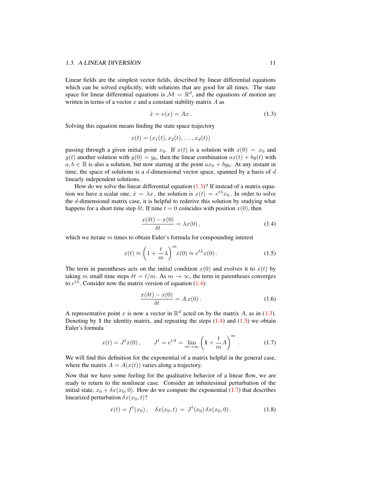Linear fields are the simplest vector fields, described by linear differential equations which can be solved explicitly, with solutions that are good for all times. The state space for linear differential equations is  $\mathcal{M} = \mathbb{R}^d$ , and the equations of motion are written in terms of a vector  $x$  and a constant stability matrix  $A$  as

<span id="page-10-0"></span>
$$
\dot{x} = v(x) = Ax. \tag{1.3}
$$

Solving this equation means finding the state space trajectory

$$
x(t) = (x_1(t), x_2(t), \dots, x_d(t))
$$

passing through a given initial point  $x_0$ . If  $x(t)$  is a solution with  $x(0) = x_0$  and  $y(t)$  another solution with  $y(0) = y_0$ , then the linear combination  $ax(t) + by(t)$  with  $a, b \in \mathbb{R}$  is also a solution, but now starting at the point  $ax_0 + by_0$ . At any instant in time, the space of solutions is a  $d$ -dimensional vector space, spanned by a basis of  $d$ linearly independent solutions.

How do we solve the linear differential equation  $(1.3)$ ? If instead of a matrix equation we have a scalar one,  $\dot{x} = \lambda x$ , the solution is  $x(t) = e^{t\lambda}x_0$ . In order to solve the d-dimensional matrix case, it is helpful to rederive this solution by studying what happens for a short time step  $\delta t$ . If time  $t = 0$  coincides with position  $x(0)$ , then

<span id="page-10-1"></span>
$$
\frac{x(\delta t) - x(0)}{\delta t} = \lambda x(0),\tag{1.4}
$$

which we iterate m times to obtain Euler's formula for compounding interest

<span id="page-10-2"></span>
$$
x(t) \approx \left(1 + \frac{t}{m}\lambda\right)^m x(0) \approx e^{t\lambda} x(0). \tag{1.5}
$$

The term in parentheses acts on the initial condition  $x(0)$  and evolves it to  $x(t)$  by taking m small time steps  $\delta t = t/m$ . As  $m \to \infty$ , the term in parentheses converges to  $e^{t\lambda}$ . Consider now the matrix version of equation [\(1.4\)](#page-10-1):

$$
\frac{x(\delta t) - x(0)}{\delta t} = A x(0).
$$
 (1.6)

A representative point x is now a vector in  $\mathbb{R}^d$  acted on by the matrix A, as in [\(1.3\)](#page-10-0). Denoting by 1 the identity matrix, and repeating the steps  $(1.4)$  and  $(1.5)$  we obtain Euler's formula

<span id="page-10-3"></span>
$$
x(t) = J^t x(0)
$$
,  $J^t = e^{tA} = \lim_{m \to \infty} \left( 1 + \frac{t}{m} A \right)^m$ . (1.7)

We will find this definition for the exponential of a matrix helpful in the general case, where the matrix  $A = A(x(t))$  varies along a trajectory.

Now that we have some feeling for the qualitative behavior of a linear flow, we are ready to return to the nonlinear case. Consider an infinitesimal perturbation of the initial state,  $x_0 + \delta x(x_0, 0)$ . How do we compute the exponential [\(1.7\)](#page-10-3) that describes linearized perturbation  $\delta x(x_0, t)$ ?

$$
x(t) = ft(x0), \quad \delta x(x0, t) = Jt(x0) \delta x(x0, 0).
$$
 (1.8)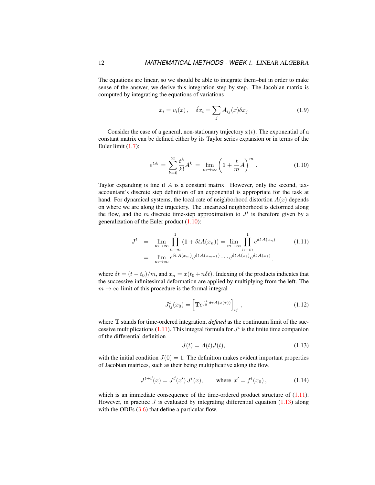The equations are linear, so we should be able to integrate them–but in order to make sense of the answer, we derive this integration step by step. The Jacobian matrix is computed by integrating the equations of variations

$$
\dot{x}_i = v_i(x), \quad \dot{\delta x}_i = \sum_j A_{ij}(x) \delta x_j \tag{1.9}
$$

Consider the case of a general, non-stationary trajectory  $x(t)$ . The exponential of a constant matrix can be defined either by its Taylor series expansion or in terms of the Euler limit [\(1.7\)](#page-10-3):

<span id="page-11-0"></span>
$$
e^{tA} = \sum_{k=0}^{\infty} \frac{t^k}{k!} A^k = \lim_{m \to \infty} \left( 1 + \frac{t}{m} A \right)^m.
$$
 (1.10)

Taylor expanding is fine if  $A$  is a constant matrix. However, only the second, taxaccountant's discrete step definition of an exponential is appropriate for the task at hand. For dynamical systems, the local rate of neighborhood distortion  $A(x)$  depends on where we are along the trajectory. The linearized neighborhood is deformed along the flow, and the m discrete time-step approximation to  $J<sup>t</sup>$  is therefore given by a generalization of the Euler product [\(1.10\)](#page-11-0):

<span id="page-11-1"></span>
$$
J^{t} = \lim_{m \to \infty} \prod_{n=m}^{1} (1 + \delta t A(x_{n})) = \lim_{m \to \infty} \prod_{n=m}^{1} e^{\delta t A(x_{n})}
$$
(1.11)  

$$
= \lim_{m \to \infty} e^{\delta t A(x_{m})} e^{\delta t A(x_{m-1})} \cdots e^{\delta t A(x_{2})} e^{\delta t A(x_{1})},
$$

where  $\delta t = (t - t_0)/m$ , and  $x_n = x(t_0 + n\delta t)$ . Indexing of the products indicates that the successive infinitesimal deformation are applied by multiplying from the left. The  $m \to \infty$  limit of this procedure is the formal integral

<span id="page-11-2"></span>
$$
J_{ij}^t(x_0) = \left[ \mathbf{T}e^{\int_0^t d\tau A(x(\tau))} \right]_{ij}, \qquad (1.12)
$$

where **T** stands for time-ordered integration, *defined* as the continuum limit of the suc-cessive multiplications [\(1.11\)](#page-11-1). This integral formula for  $J<sup>t</sup>$  is the finite time companion of the differential definition

<span id="page-11-3"></span>
$$
\dot{J}(t) = A(t)J(t),\tag{1.13}
$$

with the initial condition  $J(0) = 1$ . The definition makes evident important properties of Jacobian matrices, such as their being multiplicative along the flow,

$$
J^{t+t'}(x) = J^{t'}(x') J^t(x), \qquad \text{where } x' = f^t(x_0), \tag{1.14}
$$

which is an immediate consequence of the time-ordered product structure of  $(1.11)$ . However, in practice  $J$  is evaluated by integrating differential equation [\(1.13\)](#page-11-3) along with the ODEs  $(3.6)$  that define a particular flow.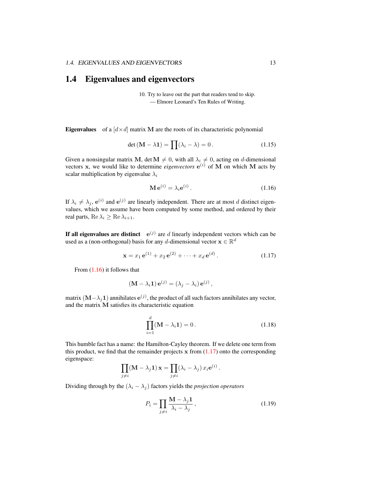# <span id="page-12-0"></span>1.4 Eigenvalues and eigenvectors

10. Try to leave out the part that readers tend to skip. — Elmore Leonard's Ten Rules of Writing.

**Eigenvalues** of a  $\left[ d \times d \right]$  matrix M are the roots of its characteristic polynomial

<span id="page-12-4"></span>
$$
\det(\mathbf{M} - \lambda \mathbf{1}) = \prod(\lambda_i - \lambda) = 0.
$$
 (1.15)

Given a nonsingular matrix M, det  $M \neq 0$ , with all  $\lambda_i \neq 0$ , acting on d-dimensional vectors  $x$ , we would like to determine *eigenvectors*  $e^{(i)}$  of M on which M acts by scalar multiplication by eigenvalue  $\lambda_i$ 

<span id="page-12-1"></span>
$$
\mathbf{M} \,\mathbf{e}^{(i)} = \lambda_i \mathbf{e}^{(i)} \,. \tag{1.16}
$$

If  $\lambda_i \neq \lambda_j$ ,  $e^{(i)}$  and  $e^{(j)}$  are linearly independent. There are at most d distinct eigenvalues, which we assume have been computed by some method, and ordered by their real parts, Re  $\lambda_i \geq \text{Re }\lambda_{i+1}$ .

If all eigenvalues are distinct  $e^{(j)}$  are d linearly independent vectors which can be used as a (non-orthogonal) basis for any d-dimensional vector  $\mathbf{x} \in \mathbb{R}^d$ 

<span id="page-12-2"></span>
$$
\mathbf{x} = x_1 \,\mathbf{e}^{(1)} + x_2 \,\mathbf{e}^{(2)} + \dots + x_d \,\mathbf{e}^{(d)} \,. \tag{1.17}
$$

From [\(1.16\)](#page-12-1) it follows that

$$
(\mathbf{M} - \lambda_i \mathbf{1}) \mathbf{e}^{(j)} = (\lambda_j - \lambda_i) \mathbf{e}^{(j)},
$$

matrix  $(\mathbf{M}-\lambda_j \mathbf{1})$  annihilates  $\mathbf{e}^{(j)}$ , the product of all such factors annihilates any vector, and the matrix M satisfies its characteristic equation

<span id="page-12-3"></span>
$$
\prod_{i=1}^{d} (\mathbf{M} - \lambda_i \mathbf{1}) = 0.
$$
\n(1.18)

This humble fact has a name: the Hamilton-Cayley theorem. If we delete one term from this product, we find that the remainder projects  $x$  from  $(1.17)$  onto the corresponding eigenspace:

$$
\prod_{j \neq i} (\mathbf{M} - \lambda_j \mathbf{1}) \mathbf{x} = \prod_{j \neq i} (\lambda_i - \lambda_j) x_i e^{(i)}
$$

Dividing through by the  $(\lambda_i - \lambda_j)$  factors yields the *projection operators* 

$$
P_i = \prod_{j \neq i} \frac{\mathbf{M} - \lambda_j \mathbf{1}}{\lambda_i - \lambda_j},\tag{1.19}
$$

.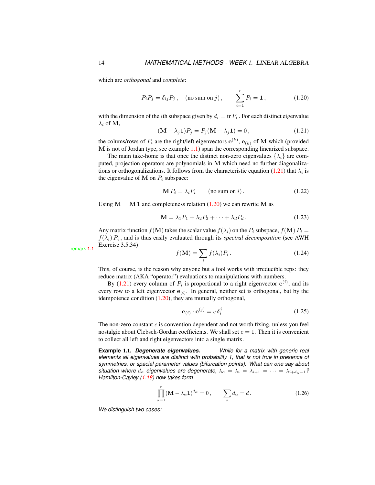which are *orthogonal* and *complete*:

<span id="page-13-3"></span>
$$
P_i P_j = \delta_{ij} P_j
$$
, (no sum on j),  $\sum_{i=1}^r P_i = 1$ , (1.20)

with the dimension of the *i*th subspace given by  $d_i = \text{tr } P_i$ . For each distinct eigenvalue  $\lambda_i$  of M,

<span id="page-13-0"></span>
$$
(\mathbf{M} - \lambda_j \mathbf{1}) P_j = P_j (\mathbf{M} - \lambda_j \mathbf{1}) = 0, \qquad (1.21)
$$

the colums/rows of  $P_i$  are the right/left eigenvectors  $e^{(k)}$ ,  $e_{(k)}$  of M which (provided M is not of Jordan type, see example [1.1\)](#page-13-2) span the corresponding linearized subspace.

The main take-home is that once the distinct non-zero eigenvalues  $\{\lambda_i\}$  are computed, projection operators are polynomials in M which need no further diagonaliza-tions or orthogonalizations. It follows from the characteristic equation [\(1.21\)](#page-13-0) that  $\lambda_i$  is the eigenvalue of  $M$  on  $P_i$  subspace:

$$
\mathbf{M} P_i = \lambda_i P_i \qquad \text{(no sum on } i\text{)}.
$$
\n(1.22)

Using  $M = M 1$  and completeness relation [\(1.20\)](#page-13-3) we can rewrite M as

$$
\mathbf{M} = \lambda_1 P_1 + \lambda_2 P_2 + \dots + \lambda_d P_d. \tag{1.23}
$$

Any matrix function  $f(\mathbf{M})$  takes the scalar value  $f(\lambda_i)$  on the  $P_i$  subspace,  $f(\mathbf{M}) P_i =$  $f(\lambda_i) P_i$ , and is thus easily evaluated through its *spectral decomposition* (see AWH) Exercise 3.5.34) remark [1.1](#page-19-4)

<span id="page-13-1"></span>
$$
f(\mathbf{M}) = \sum_{i} f(\lambda_i) P_i.
$$
 (1.24)

This, of course, is the reason why anyone but a fool works with irreducible reps: they reduce matrix (AKA "operator") evaluations to manipulations with numbers.

By [\(1.21\)](#page-13-0) every column of  $P_i$  is proportional to a right eigenvector  $e^{(i)}$ , and its every row to a left eigenvector  $e_{(i)}$ . In general, neither set is orthogonal, but by the idempotence condition [\(1.20\)](#page-13-3), they are mutually orthogonal,

<span id="page-13-5"></span>
$$
\mathbf{e}_{(i)} \cdot \mathbf{e}^{(j)} = c \,\delta_i^j \,. \tag{1.25}
$$

The non-zero constant  $c$  is convention dependent and not worth fixing, unless you feel nostalgic about Clebsch-Gordan coefficients. We shall set  $c = 1$ . Then it is convenient to collect all left and right eigenvectors into a single matrix.

<span id="page-13-2"></span>**Example** 1.1. *Degenerate eigenvalues. While for a matrix with generic real elements all eigenvalues are distinct with probability 1, that is not true in presence of symmetries, or spacial parameter values (bifurcation points). What can one say about situation where*  $d_{\alpha}$  *eigenvalues are degenerate,*  $\lambda_{\alpha} = \lambda_i = \lambda_{i+1} = \cdots = \lambda_{i+d_{\alpha}-1}$ ? *Hamilton-Cayley [\(1.18\)](#page-12-3) now takes form*

<span id="page-13-4"></span>
$$
\prod_{\alpha=1}^{r} (\mathbf{M} - \lambda_{\alpha} \mathbf{1})^{d_{\alpha}} = 0, \qquad \sum_{\alpha} d_{\alpha} = d. \tag{1.26}
$$

*We distinguish two cases:*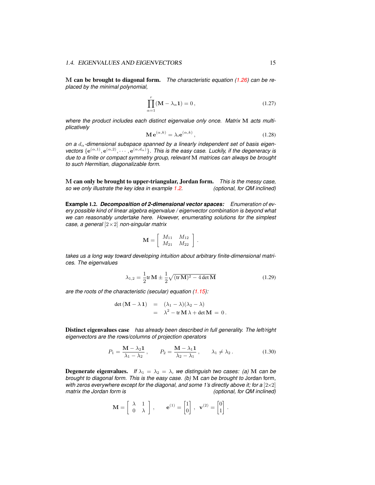M can be brought to diagonal form. *The characteristic equation [\(1.26\)](#page-13-4) can be replaced by the minimal polynomial,*

<span id="page-14-0"></span>
$$
\prod_{\alpha=1}^{r} (\mathbf{M} - \lambda_{\alpha} \mathbf{1}) = 0, \qquad (1.27)
$$

*where the product includes each distinct eigenvalue only once. Matrix* M *acts multiplicatively*

$$
\mathbf{M} \,\mathbf{e}^{(\alpha,k)} = \lambda_i \mathbf{e}^{(\alpha,k)},\tag{1.28}
$$

on a d<sub>α</sub>-dimensional subspace spanned by a linearly independent set of basis eigenvectors  $\{e^{(\alpha,1)}, e^{(\alpha,2)}, \cdots, e^{(\alpha,d_\alpha)}\}$ . This is the easy case. Luckily, if the degeneracy is *due to a finite or compact symmetry group, relevant* M *matrices can always be brought to such Hermitian, diagonalizable form.*

M can only be brought to upper-triangular, Jordan form. *This is the messy case, so we only illustrate the key idea in example [1.2.](#page-14-1)* 

<span id="page-14-1"></span>**Example** 1.2. *Decomposition of 2-dimensional vector spaces: Enumeration of every possible kind of linear algebra eigenvalue / eigenvector combination is beyond what we can reasonably undertake here. However, enumerating solutions for the simplest case, a general* [2×2] *non-singular matrix*

$$
\mathbf{M} = \left[ \begin{array}{cc} M_{11} & M_{12} \\ M_{21} & M_{22} \end{array} \right]
$$

*takes us a long way toward developing intuition about arbitrary finite-dimensional matrices. The eigenvalues*

<span id="page-14-2"></span>
$$
\lambda_{1,2} = \frac{1}{2} \text{tr} \, \mathbf{M} \pm \frac{1}{2} \sqrt{(\text{tr} \, \mathbf{M})^2 - 4 \det \mathbf{M}}
$$
\n(1.29)

.

*are the roots of the characteristic (secular) equation [\(1.15\)](#page-12-4):*

<span id="page-14-3"></span>
$$
det (M - \lambda 1) = (\lambda_1 - \lambda)(\lambda_2 - \lambda)
$$
  
=  $\lambda^2 - tr M \lambda + det M = 0.$ 

Distinct eigenvalues case *has already been described in full generality. The left/right eigenvectors are the rows/columns of projection operators*

$$
P_1 = \frac{\mathbf{M} - \lambda_2 \mathbf{1}}{\lambda_1 - \lambda_2}, \qquad P_2 = \frac{\mathbf{M} - \lambda_1 \mathbf{1}}{\lambda_2 - \lambda_1}, \qquad \lambda_1 \neq \lambda_2.
$$
 (1.30)

**Degenerate eigenvalues.** *If*  $\lambda_1 = \lambda_2 = \lambda$ , we distinguish two cases: (a) M can be *brought to diagonal form. This is the easy case. (b)* M *can be brought to* Jordan form*, with zeros everywhere except for the diagonal, and some 1's directly above it; for a*  $[2 \times 2]$ *matrix the Jordan form is (optional, for QM inclined)*

$$
\mathbf{M} = \begin{bmatrix} \lambda & 1 \\ 0 & \lambda \end{bmatrix}, \qquad \mathbf{e}^{(1)} = \begin{bmatrix} 1 \\ 0 \end{bmatrix}, \ \mathbf{v}^{(2)} = \begin{bmatrix} 0 \\ 1 \end{bmatrix}.
$$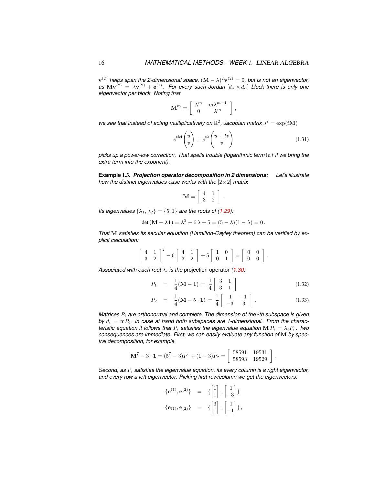${\bf v}^{(2)}$  helps span the 2-dimensional space,  $({\bf M}-\lambda)^2{\bf v}^{(2)}=0,$  but is not an eigenvector,  $a$ s  $M{\bf v}^{(2)}\,=\,\lambda{\bf v}^{(2)}+{\bf e}^{(1)}$ . For every such Jordan  $[d_\alpha\times d_\alpha]$  block there is only one *eigenvector per block. Noting that*

$$
\mathbf{M}^m = \left[ \begin{array}{cc} \lambda^m & m \lambda^{m-1} \\ 0 & \lambda^m \end{array} \right] ,
$$

we see that instead of acting multiplicatively on  $\mathbb{R}^2$ , Jacobian matrix  $J^t = \exp(t\mathbf{M})$ 

$$
e^{tM}\begin{pmatrix} u \\ v \end{pmatrix} = e^{t\lambda} \begin{pmatrix} u+tv \\ v \end{pmatrix}
$$
 (1.31)

*picks up a power-low correction. That spells trouble (logarithmic term* ln t *if we bring the extra term into the exponent).*

<span id="page-15-0"></span>**Example** 1.3. *Projection operator decomposition in 2 dimensions: Let's illustrate how the distinct eigenvalues case works with the* [2×2] *matrix*

$$
\mathbf{M} = \left[ \begin{array}{cc} 4 & 1 \\ 3 & 2 \end{array} \right]
$$

.

*Its eigenvalues*  $\{\lambda_1, \lambda_2\} = \{5, 1\}$  *are the roots of [\(1.29\)](#page-14-2):* 

$$
\det (M - \lambda 1) = \lambda^2 - 6\lambda + 5 = (5 - \lambda)(1 - \lambda) = 0.
$$

*That* M *satisfies its secular equation (Hamilton-Cayley theorem) can be verified by explicit calculation:*

$$
\left[\begin{array}{cc}4 & 1\\3 & 2\end{array}\right]^2 - 6\left[\begin{array}{cc}4 & 1\\3 & 2\end{array}\right] + 5\left[\begin{array}{cc}1 & 0\\0 & 1\end{array}\right] = \left[\begin{array}{cc}0 & 0\\0 & 0\end{array}\right].
$$

*Associated with each root*  $\lambda_i$  *is the* projection operator [\(1.30\)](#page-14-3)

$$
P_1 = \frac{1}{4}(\mathbf{M} - \mathbf{1}) = \frac{1}{4} \begin{bmatrix} 3 & 1 \\ 3 & 1 \end{bmatrix}
$$
 (1.32)

$$
P_2 = \frac{1}{4}(\mathbf{M} - 5 \cdot \mathbf{1}) = \frac{1}{4} \begin{bmatrix} 1 & -1 \\ -3 & 3 \end{bmatrix}.
$$
 (1.33)

.

*Matrices*  $P_i$  *are orthonormal and complete, The dimension of the ith subspace is given* by  $d_i = \text{tr } P_i$ ; *in case at hand both subspaces are 1-dimensional. From the characteristic equation it follows that*  $P_i$  *satisfies the eigenvalue equation* M  $P_i = \lambda_i P_i$ . *Two consequences are immediate. First, we can easily evaluate any function of* M *by spectral decomposition, for example*

$$
\mathbf{M}^7 - 3 \cdot \mathbf{1} = (5^7 - 3)P_1 + (1 - 3)P_2 = \begin{bmatrix} 58591 & 19531 \\ 58593 & 19529 \end{bmatrix}
$$

*Second, as*  $P_i$  *satisfies the eigenvalue equation, its every column is a right eigenvector, and every row a left eigenvector. Picking first row/column we get the eigenvectors:*

$$
\begin{aligned}\n\{\mathbf{e}^{(1)}, \mathbf{e}^{(2)}\} &= \{ \begin{bmatrix} 1 \\ 1 \end{bmatrix}, \begin{bmatrix} 1 \\ -3 \end{bmatrix} \} \\
\{\mathbf{e}_{(1)}, \mathbf{e}_{(2)}\} &= \{ \begin{bmatrix} 3 \\ 1 \end{bmatrix}, \begin{bmatrix} 1 \\ -1 \end{bmatrix} \},\n\end{aligned}
$$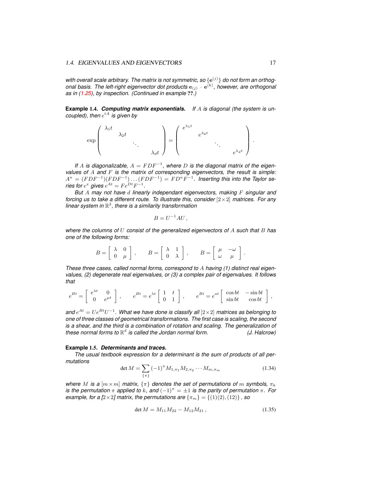with overall scale arbitrary. The matrix is not symmetric, so  $\{e^{(j)}\}$  do not form an orthogonal basis. The left-right eigenvector dot products  $e_{(j)} \cdot e^{(k)}$ , however, are orthogonal *as in [\(1.25\)](#page-13-5), by inspection. (Continued in example* ??*.)*

**Example** 1.4. *Computing matrix exponentials. If* A *is diagonal (the system is uncoupled), then*  $e^{tA}$  *is given by* 

$$
\exp\left(\begin{array}{cccc} \lambda_1 t & & & \\ & \lambda_2 t & & \\ & & \ddots & \\ & & & \lambda_d t \end{array}\right) = \left(\begin{array}{cccc} e^{\lambda_1 t} & & & \\ & e^{\lambda_2 t} & & \\ & & \ddots & \\ & & & e^{\lambda_d t} \end{array}\right).
$$

If A is diagonalizable,  $A = FDF^{-1}$ , where D is the diagonal matrix of the eigen*values of* A *and* F *is the matrix of corresponding eigenvectors, the result is simple:*  $A^n = (FDF^{-1})(FDF^{-1}) \dots (FDF^{-1}) = FD^nF^{-1}.$  Inserting this into the Taylor se*ries for*  $e^x$  gives  $e^{At} = Fe^{Dt}F^{-1}$ .

*But* A *may not have* d *linearly independant eigenvectors, making* F *singular and forcing us to take a different route. To illustrate this, consider*  $[2 \times 2]$  *matrices. For any linear system in* R 2 *, there is a similarity transformation*

$$
B = U^{-1}AU,
$$

*where the columns of* U *consist of the generalized eigenvectors of* A *such that* B *has one of the following forms:*

|  |  | $B=\left[\begin{array}{cc} \lambda & 0 \\ 0 & \mu \end{array}\right]\,,\qquad B=\left[\begin{array}{cc} \lambda & 1 \\ 0 & \lambda \end{array}\right]\,,\qquad B=\left[\begin{array}{cc} \mu & -\omega \\ \omega & \mu \end{array}\right]\,.$ |  |  |  |  |  |
|--|--|-----------------------------------------------------------------------------------------------------------------------------------------------------------------------------------------------------------------------------------------------|--|--|--|--|--|
|  |  |                                                                                                                                                                                                                                               |  |  |  |  |  |

*These three cases, called normal forms, correspond to* A *having (1) distinct real eigenvalues, (2) degenerate real eigenvalues, or (3) a complex pair of eigenvalues. It follows that*

$$
e^{Bt} = \begin{bmatrix} e^{\lambda t} & 0 \\ 0 & e^{\mu t} \end{bmatrix}, \qquad e^{Bt} = e^{\lambda t} \begin{bmatrix} 1 & t \\ 0 & 1 \end{bmatrix}, \qquad e^{Bt} = e^{at} \begin{bmatrix} \cos bt & -\sin bt \\ \sin bt & \cos bt \end{bmatrix},
$$

and  $e^{At} = Ue^{Bt}U^{-1}$ . What we have done is classify all  $[2\times 2]$  matrices as belonging to *one of three classes of geometrical transformations. The first case is scaling, the second is a shear, and the third is a combination of rotation and scaling. The generalization of these normal forms to* R d *is called the Jordan normal form. (J. Halcrow)*

#### **Example** 1.5. *Determinants and traces.*

*The usual textbook expression for a determinant is the sum of products of all permutations*

$$
\det M = \sum_{\{\pi\}} (-1)^{\pi} M_{1,\pi_1} M_{2,\pi_2} \cdots M_{m,\pi_m}
$$
 (1.34)

*where M is a*  $[m \times m]$  *matrix,*  $\{\pi\}$  *denotes the set of permutations of m symbols,*  $\pi_k$ *is the permutation*  $\pi$  *applied to*  $k$ *, and*  $(-1)^{\pi} = \pm 1$  *is the parity of permutation*  $\pi$ *. For example, for a [* $2\times$ 2*] matrix, the permutations are*  $\{\pi_m\} = \{(1)(2), (12)\}$ , *so* 

<span id="page-16-0"></span>
$$
\det M = M_{11} M_{22} - M_{12} M_{21}, \tag{1.35}
$$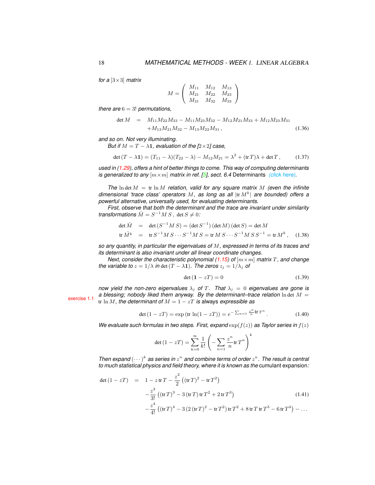*for a* [3×3] *matrix*

$$
M = \left(\begin{array}{ccc} M_{11} & M_{12} & M_{13} \\ M_{21} & M_{22} & M_{23} \\ M_{31} & M_{32} & M_{33} \end{array}\right)
$$

*there are* 6 = 3! *permutations,*

<span id="page-17-1"></span>
$$
\det M = M_{11}M_{22}M_{33} - M_{11}M_{23}M_{32} - M_{12}M_{21}M_{33} + M_{12}M_{23}M_{31} + M_{13}M_{21}M_{32} - M_{13}M_{22}M_{31},
$$
\n(1.36)

*and so on. Not very illuminating.*

*But if*  $M = T - \lambda \mathbf{1}$ , evaluation of the  $[2 \times 2]$  case,

$$
\det(T - \lambda \mathbf{1}) = (T_{11} - \lambda)(T_{22} - \lambda) - M_{12}M_{21} = \lambda^2 + (\text{tr} T)\lambda + \det T, \tag{1.37}
$$

*used in [\(1.29\)](#page-14-2), offers a hint of better things to come. This way of computing determinants is generalized to any*  $[m \times m]$  *matrix in ref.* [\[5\]](#page-19-5), sect. 6.4 Determinants *[\(click here\).](http://birdtracks.eu/version9.0/GroupTheory.pdf#section.6.4)* 

*The*  $\ln \det M = \text{tr} \ln M$  *relation, valid for any square matrix* M *(even the infinite* dimensional 'trace class' operators M, as long as all  $|\text{tr } M^k|$  are bounded) offers a *powerful alternative, universally used, for evaluating determinants.*

*First, observe that both the determinant and the trace are invariant under similarity transformations*  $\hat{M} = S^{-1}M S$ , det  $S \neq 0$ *:* 

$$
\det \hat{M} = \det (S^{-1}MS) = (\det S^{-1})(\det M)(\det S) = \det M
$$
  
tr  $\hat{M}^k = \text{tr } S^{-1}MS \cdots S^{-1}MS = \text{tr } MS \cdots S^{-1}MS S^{-1} = \text{tr } M^k$ , (1.38)

*so any quantity, in particular the eigenvalues of* M*, expressed in terms of its traces and its determinant is also invariant under all linear coordinate changes.*

*Next, consider the characteristic polynomial [\(1.15\)](#page-12-4) of*  $[m \times m]$  *matrix T, and change the variable to*  $z = 1/\lambda$  *in* det  $(T - \lambda 1)$ *. The zeros*  $z_j = 1/\lambda_j$  *of* 

$$
\det\left(\mathbf{1} - zT\right) = 0\tag{1.39}
$$

*now yield the non-zero eigenvalues*  $\lambda_j$  *of*  $T$ *. That*  $\lambda_j = 0$  *eigenvalues are gone is a blessing; nobody liked them anyway. By the determinant–trace relation* ln det M = tr ln *M*, the determinant of  $M = 1 - zT$  is always expressible as

<span id="page-17-2"></span>
$$
\det (1 - zT) = \exp (\text{tr } \ln(1 - zT)) = e^{-\sum_{n=1}^{\infty} \frac{z^n}{n} \text{tr } T^n}.
$$
 (1.40)

*We evaluate such formulas in two steps. First, expand*  $\exp(f(z))$  *as Taylor series in*  $f(z)$ 

$$
\det(1 - zT) = \sum_{k=0}^{\infty} \frac{1}{k!} \left( -\sum_{n=1}^{\infty} \frac{z^n}{n} \text{tr} T^n \right)^k
$$

*Then expand*  $(\cdots)^k$  as series in  $z^n$  and combine terms of order  $z^n$ . The result is central *to much statistical physics and field theory, where it is known as the* cumulant expansion*:*

<span id="page-17-0"></span>
$$
\det (1 - zT) = 1 - z \operatorname{tr} T - \frac{z^2}{2} \left( (\operatorname{tr} T)^2 - \operatorname{tr} T^2 \right)
$$
  
 
$$
- \frac{z^3}{3!} \left( (\operatorname{tr} T)^3 - 3 (\operatorname{tr} T) \operatorname{tr} T^2 + 2 \operatorname{tr} T^3 \right)
$$
  
 
$$
- \frac{z^4}{4!} \left( (\operatorname{tr} T)^4 - 3 \left( 2 \left( \operatorname{tr} T \right)^2 - \operatorname{tr} T^2 \right) \operatorname{tr} T^2 + 8 \operatorname{tr} T \operatorname{tr} T^3 - 6 \operatorname{tr} T^4 \right) - \dots
$$
 (1.41)

exercise [1.1](#page-20-0)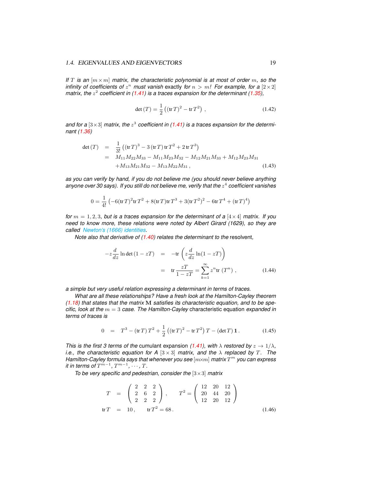#### 1.4. EIGENVALUES AND EIGENVECTORS 19

*If* T is an  $[m \times m]$  *matrix, the characteristic polynomial is at most of order* m, so the *infinity of coefficients of*  $z^n$  *must vanish* exactly *for*  $n > m!$  *For example, for a*  $[2 \times 2]$ *matrix, the*  $z^2$  coefficient in [\(1.41\)](#page-17-0) is a traces expansion for the determinant [\(1.35\)](#page-16-0),

$$
\det(T) = \frac{1}{2} ((tr T)^2 - tr T^2), \qquad (1.42)
$$

and for a  $[3\times3]$  matrix, the  $z^3$  coefficient in [\(1.41\)](#page-17-0) is a traces expansion for the determi*nant [\(1.36\)](#page-17-1)*

$$
det(T) = \frac{1}{3!} ((tr T)^3 - 3 (tr T) tr T^2 + 2 tr T^3)
$$
  
=  $M_{11} M_{22} M_{33} - M_{11} M_{23} M_{32} - M_{12} M_{21} M_{33} + M_{12} M_{23} M_{31}$   
+  $M_{13} M_{21} M_{32} - M_{13} M_{22} M_{31}$ , (1.43)

*as you can verify by hand, if you do not believe me (you should never believe anything* anyone over 30 says). If you still do not believe me, verify that the  $z^4$  coefficient vanishes

$$
0 = \frac{1}{4!} \left( -6(\text{tr} T)^2 \text{tr} T^2 + 8(\text{tr} T) \text{tr} T^3 + 3(\text{tr} T^2)^2 - 6 \text{tr} T^4 + (\text{tr} T)^4 \right)
$$

*for*  $m = 1, 2, 3$ *, but is a traces expansion for the determinant of a*  $[4 \times 4]$  *matrix. If you need to know more, these relations were noted by Albert Girard (1629), so they are called [Newton's \(1666\) identities.](https://en.wikipedia.org/wiki/Newton%27s_identities)*

*Note also that derivative of [\(1.40\)](#page-17-2) relates the determinant to the* resolvent*,*

$$
-z\frac{d}{dz}\ln\det\left(1-zT\right) = -\text{tr}\left(z\frac{d}{dz}\ln(1-zT)\right)
$$

$$
= \text{tr}\frac{zT}{1-zT} = \sum_{k=1}^{\infty} z^n \text{tr}\left(T^n\right), \tag{1.44}
$$

*a simple but very useful relation expressing a determinant in terms of traces.*

*What are all these relationships? Have a fresh look at the Hamilton-Cayley theorem [\(1.18\)](#page-12-3) that states that the matrix* M *satisfies its characteristic equation, and to be specific, look at the* m = 3 *case. The Hamilton-Cayley* characteristic equation *expanded in terms of traces is*

$$
0 = T3 - (\text{tr } T) T2 + \frac{1}{2} ((\text{tr } T)2 - \text{tr } T2) T - (\text{det } T) \mathbf{1}. \qquad (1.45)
$$

*This is the first 3 terms of the cumulant expansion [\(1.41\)](#page-17-0), with*  $\lambda$  *restored by*  $z \to 1/\lambda$ , *i.e., the characteristic equation for A*  $[3 \times 3]$  *matrix, and the*  $\lambda$  *replaced by* T. The *Hamilton-Cayley formula says that whenever you see* [m×m] *matrix* T <sup>m</sup> *you can express*  $i$ *t in terms of*  $T^{m-1}$ *,*  $T^{m-1}$ *,*  $\cdots$ *,*  $T$ *.* 

*To be very specific and pedestrian, consider the* [3×3] *matrix*

$$
T = \begin{pmatrix} 2 & 2 & 2 \\ 2 & 6 & 2 \\ 2 & 2 & 2 \end{pmatrix}, \qquad T^2 = \begin{pmatrix} 12 & 20 & 12 \\ 20 & 44 & 20 \\ 12 & 20 & 12 \end{pmatrix}
$$
  
tr  $T = 10$ , tr  $T^2 = 68$ . (1.46)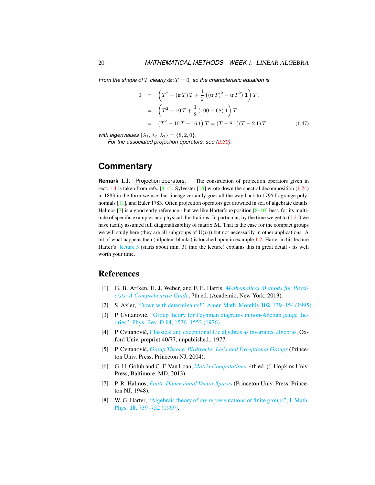*From the shape of*  $T$  *clearly*  $\det T = 0$ *, so the characteristic equation is* 

$$
0 = \left(T^2 - (\operatorname{tr} T) T + \frac{1}{2} ((\operatorname{tr} T)^2 - \operatorname{tr} T^2) \mathbf{1}\right) T.
$$
  
\n
$$
= \left(T^2 - 10T + \frac{1}{2} (100 - 68) \mathbf{1}\right) T
$$
  
\n
$$
= (T^2 - 10T + 16 \mathbf{1}) T = (T - 8 \mathbf{1})(T - 2 \mathbf{1}) T, \qquad (1.47)
$$

*with eigenvalues*  $\{\lambda_1, \lambda_2, \lambda_3\} = \{8, 2, 0\}.$ 

*For the associated projection operators, see [\(2.30\)](#page--1-46).*

# **Commentary**

<span id="page-19-4"></span>**Remark** 1.1. Projection operators. The construction of projection operators given in sect. [1.4](#page-12-0) is taken from refs.  $[3, 4]$  $[3, 4]$  $[3, 4]$ . Sylvester  $[13]$  wrote down the spectral decomposition [\(1.24\)](#page-13-1) in 1883 in the form we use, but lineage certainly goes all the way back to 1795 Lagrange polynomials [\[11\]](#page-20-5), and Euler 1783. Often projection operators get drowned in sea of algebraic details. Halmos [\[7\]](#page-19-8) is a good early reference - but we like Harter's exposition  $[8-10]$  $[8-10]$  best, for its multitude of specific examples and physical illustrations. In particular, by the time we get to  $(1.21)$  we have tacitly assumed full diagonalizability of matrix M. That is the case for the compact groups we will study here (they are all subgroups of  $U(n)$ ) but not necessarily in other applications. A bit of what happens then (nilpotent blocks) is touched upon in example [1.2.](#page-14-1) Harter in his lecture Harter's [lecture 5](https://www.youtube.com/watch?v=jLO7-Pks0QM) (starts about min. 31 into the lecture) explains this in great detail - its well worth your time.

# <span id="page-19-0"></span>References

- <span id="page-19-1"></span>[1] G. B. Arfken, H. J. Weber, and F. E. Harris, *[Mathematical Methods for Physi](http://books.google.com/books?vid=ISBN9780123846549)[cists: A Comprehensive Guide](http://books.google.com/books?vid=ISBN9780123846549)*, 7th ed. (Academic, New York, 2013).
- <span id="page-19-3"></span>[2] S. Axler, ["Down with determinants!",](http://dx.doi.org/10.2307/2975348) [Amer. Math. Monthly](https://doi.org/10.2307/2975348) 102, 139–154 (1995).
- <span id="page-19-6"></span>[3] P. Cvitanović, ["Group theory for Feynman diagrams in non-Abelian gauge the](http://dx.doi.org/10.1103/PhysRevD.14.1536)[ories",](http://dx.doi.org/10.1103/PhysRevD.14.1536) Phys. Rev. D 14[, 1536–1553 \(1976\).](https://doi.org/10.1103/PhysRevD.14.1536)
- <span id="page-19-7"></span>[4] P. Cvitanović, [Classical and exceptional Lie algebras as invariance algebras,](http://birdtracks.eu/refs/OxfordPrepr.pdf) Oxford Univ. preprint 40/77, unpublished., 1977.
- <span id="page-19-5"></span>[5] P. Cvitanović, *[Group Theory: Birdtracks, Lie's and Exceptional Groups](https://press.princeton.edu/titles/8839.html)* (Princeton Univ. Press, Princeton NJ, 2004).
- <span id="page-19-2"></span>[6] G. H. Golub and C. F. Van Loan, *[Matrix Computations](http://books.google.com/books?vid=ISBN1421407949)*, 4th ed. (J. Hopkins Univ. Press, Baltimore, MD, 2013).
- <span id="page-19-8"></span>[7] P. R. Halmos, *[Finite-Dimensional Vector Spaces](http://books.google.com/books?vid=ISBN9780691090955)* (Princeton Univ. Press, Princeton NJ, 1948).
- <span id="page-19-9"></span>[8] W. G. Harter, ["Algebraic theory of ray representations of finite groups",](http://dx.doi.org/10.1063/1.1664901) [J. Math.](https://doi.org/10.1063/1.1664901) Phys. 10[, 739–752 \(1969\).](https://doi.org/10.1063/1.1664901)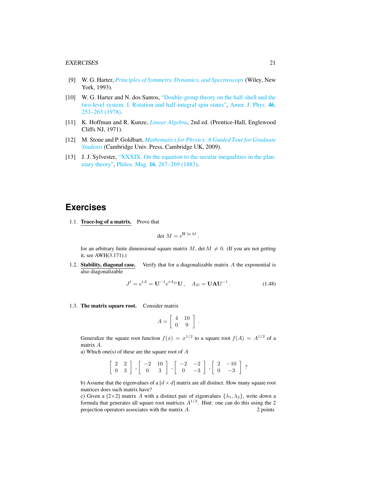- [9] W. G. Harter, *[Principles of Symmetry, Dynamics, and Spectroscopy](http://www.uark.edu/ua/modphys/markup/PSDS_Info.html)* (Wiley, New York, 1993).
- <span id="page-20-6"></span>[10] W. G. Harter and N. dos Santos, ["Double-group theory on the half-shell and the](http://dx.doi.org/10.1119/1.11134) [two-level system. I. Rotation and half-integral spin states",](http://dx.doi.org/10.1119/1.11134) [Amer. J. Phys.](https://doi.org/10.1119/1.11134) 46, [251–263 \(1978\).](https://doi.org/10.1119/1.11134)
- <span id="page-20-5"></span>[11] K. Hoffman and R. Kunze, *[Linear Algebra](http://dx.doi.org/10.2307/3617032)*, 2nd ed. (Prentice-Hall, Englewood Cliffs NJ, 1971).
- <span id="page-20-3"></span>[12] M. Stone and P. Goldbart, *[Mathematics for Physics: A Guided Tour for Graduate](http://dx.doi.org/10.1017/cbo9780511627040) [Students](http://dx.doi.org/10.1017/cbo9780511627040)* (Cambridge Univ. Press, Cambridge UK, 2009).
- <span id="page-20-4"></span>[13] J. J. Sylvester, ["XXXIX. On the equation to the secular inequalities in the plan](http://dx.doi.org/10.1080/14786448308627430)[etary theory",](http://dx.doi.org/10.1080/14786448308627430) Philos. Mag. 16[, 267–269 \(1883\).](https://doi.org/10.1080/14786448308627430)

# **Exercises**

<span id="page-20-0"></span>1.1. Trace-log of a matrix. Prove that

$$
\det M = e^{\text{tr}\, \ln M}.
$$

for an arbitrary finite dimensional square matrix  $M$ , det  $M \neq 0$ . (If you are not getting it, see AWH(3.171).)

<span id="page-20-1"></span>1.2. Stability, diagonal case. Verify that for a diagonalizable matrix  $A$  the exponential is also diagonalizable

$$
J^{t} = e^{tA} = U^{-1} e^{tA_D} U, \quad A_D = UAU^{-1}.
$$
 (1.48)

<span id="page-20-2"></span>1.3. The matrix square root. Consider matrix

$$
A = \left[ \begin{array}{cc} 4 & 10 \\ 0 & 9 \end{array} \right] .
$$

Generalize the square root function  $f(x) = x^{1/2}$  to a square root  $f(A) = A^{1/2}$  of a matrix A.

a) Which one(s) of these are the square root of  $A$ 

 $\left[\begin{array}{cc} 2 & 2 \\ 0 & 3 \end{array}\right]$ ,  $\left[\begin{array}{cc} -2 & 10 \\ 0 & 3 \end{array}\right]$ ,  $\left[\begin{array}{cc} -2 & -2 \\ 0 & -3 \end{array}\right]$  $0 -3$  $\begin{bmatrix} 2 & -10 \\ 0 & 2 \end{bmatrix}$  $0 -3$ ?

b) Assume that the eigenvalues of a  $\left[ d \times d \right]$  matrix are all distinct. How many square root matrices does such matrix have?

c) Given a [2×2] matrix A with a distinct pair of eigenvalues  $\{\lambda_1, \lambda_2\}$ , write down a formula that generates all square root matrices  $A^{1/2}$ . Hint: one can do this using the 2 projection operators associates with the matrix  $A$ . 2 points